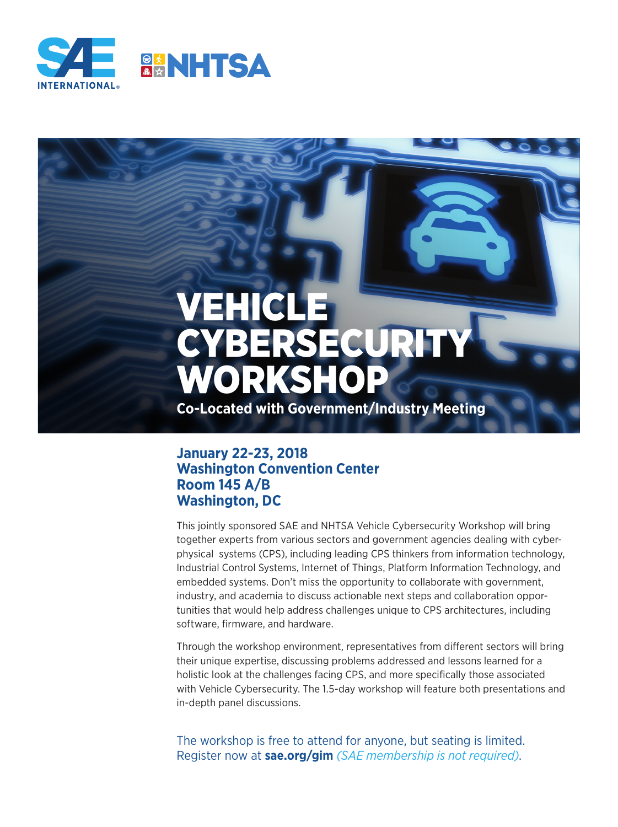

# VEHICLE YBER: WORKSHOP

**Co-Located with Government/Industry Meeting**

#### **January 22-23, 2018 Washington Convention Center Room 145 A/B Washington, DC**

This jointly sponsored SAE and NHTSA Vehicle Cybersecurity Workshop will bring together experts from various sectors and government agencies dealing with cyberphysical systems (CPS), including leading CPS thinkers from information technology, Industrial Control Systems, Internet of Things, Platform Information Technology, and embedded systems. Don't miss the opportunity to collaborate with government, industry, and academia to discuss actionable next steps and collaboration opportunities that would help address challenges unique to CPS architectures, including software, firmware, and hardware.

Through the workshop environment, representatives from different sectors will bring their unique expertise, discussing problems addressed and lessons learned for a holistic look at the challenges facing CPS, and more specifically those associated with Vehicle Cybersecurity. The 1.5-day workshop will feature both presentations and in-depth panel discussions.

The workshop is free to attend for anyone, but seating is limited. Register now at **sae.org/gim** *(SAE membership is not required)*.